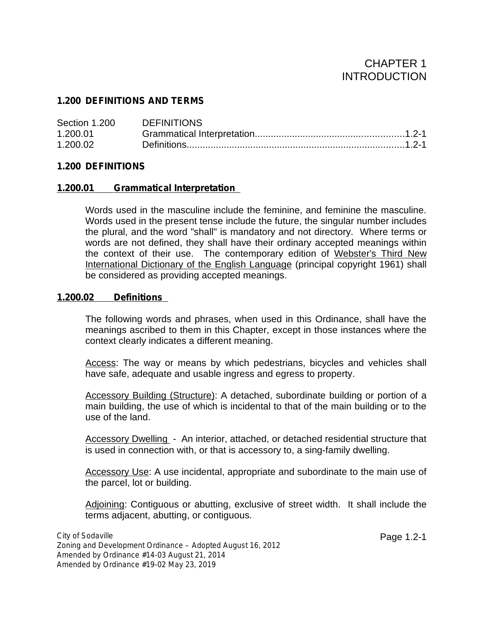# CHAPTER 1 INTRODUCTION

## **1.200 DEFINITIONS AND TERMS**

| Section 1.200 | <b>DEFINITIONS</b> |  |
|---------------|--------------------|--|
| 1.200.01      |                    |  |
| 1.200.02      |                    |  |

### **1.200 DEFINITIONS**

### **1.200.01 Grammatical Interpretation**

Words used in the masculine include the feminine, and feminine the masculine. Words used in the present tense include the future, the singular number includes the plural, and the word "shall" is mandatory and not directory. Where terms or words are not defined, they shall have their ordinary accepted meanings within the context of their use. The contemporary edition of Webster's Third New International Dictionary of the English Language (principal copyright 1961) shall be considered as providing accepted meanings.

### **1.200.02 Definitions**

The following words and phrases, when used in this Ordinance, shall have the meanings ascribed to them in this Chapter, except in those instances where the context clearly indicates a different meaning.

Access: The way or means by which pedestrians, bicycles and vehicles shall have safe, adequate and usable ingress and egress to property.

Accessory Building (Structure): A detached, subordinate building or portion of a main building, the use of which is incidental to that of the main building or to the use of the land.

Accessory Dwelling - An interior, attached, or detached residential structure that is used in connection with, or that is accessory to, a sing-family dwelling.

Accessory Use: A use incidental, appropriate and subordinate to the main use of the parcel, lot or building.

Adjoining: Contiguous or abutting, exclusive of street width. It shall include the terms adjacent, abutting, or contiguous.

Page 1.2-1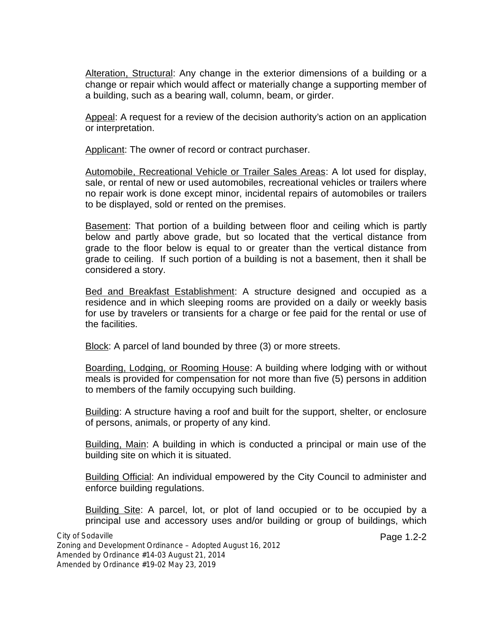Alteration, Structural: Any change in the exterior dimensions of a building or a change or repair which would affect or materially change a supporting member of a building, such as a bearing wall, column, beam, or girder.

Appeal: A request for a review of the decision authority's action on an application or interpretation.

Applicant: The owner of record or contract purchaser.

Automobile, Recreational Vehicle or Trailer Sales Areas: A lot used for display, sale, or rental of new or used automobiles, recreational vehicles or trailers where no repair work is done except minor, incidental repairs of automobiles or trailers to be displayed, sold or rented on the premises.

Basement: That portion of a building between floor and ceiling which is partly below and partly above grade, but so located that the vertical distance from grade to the floor below is equal to or greater than the vertical distance from grade to ceiling. If such portion of a building is not a basement, then it shall be considered a story.

Bed and Breakfast Establishment: A structure designed and occupied as a residence and in which sleeping rooms are provided on a daily or weekly basis for use by travelers or transients for a charge or fee paid for the rental or use of the facilities.

Block: A parcel of land bounded by three (3) or more streets.

Boarding, Lodging, or Rooming House: A building where lodging with or without meals is provided for compensation for not more than five (5) persons in addition to members of the family occupying such building.

Building: A structure having a roof and built for the support, shelter, or enclosure of persons, animals, or property of any kind.

Building, Main: A building in which is conducted a principal or main use of the building site on which it is situated.

Building Official: An individual empowered by the City Council to administer and enforce building regulations.

Building Site: A parcel, lot, or plot of land occupied or to be occupied by a principal use and accessory uses and/or building or group of buildings, which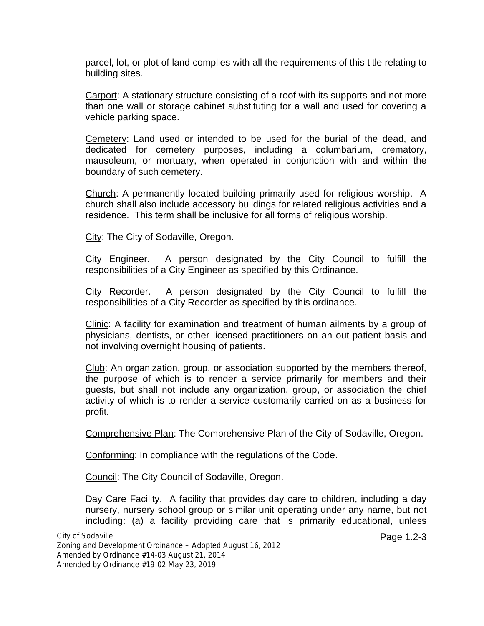parcel, lot, or plot of land complies with all the requirements of this title relating to building sites.

Carport: A stationary structure consisting of a roof with its supports and not more than one wall or storage cabinet substituting for a wall and used for covering a vehicle parking space.

Cemetery: Land used or intended to be used for the burial of the dead, and dedicated for cemetery purposes, including a columbarium, crematory, mausoleum, or mortuary, when operated in conjunction with and within the boundary of such cemetery.

Church: A permanently located building primarily used for religious worship. A church shall also include accessory buildings for related religious activities and a residence. This term shall be inclusive for all forms of religious worship.

City: The City of Sodaville, Oregon.

City Engineer. A person designated by the City Council to fulfill the responsibilities of a City Engineer as specified by this Ordinance.

City Recorder. A person designated by the City Council to fulfill the responsibilities of a City Recorder as specified by this ordinance.

Clinic: A facility for examination and treatment of human ailments by a group of physicians, dentists, or other licensed practitioners on an out-patient basis and not involving overnight housing of patients.

Club: An organization, group, or association supported by the members thereof, the purpose of which is to render a service primarily for members and their guests, but shall not include any organization, group, or association the chief activity of which is to render a service customarily carried on as a business for profit.

Comprehensive Plan: The Comprehensive Plan of the City of Sodaville, Oregon.

Conforming: In compliance with the regulations of the Code.

Council: The City Council of Sodaville, Oregon.

Day Care Facility. A facility that provides day care to children, including a day nursery, nursery school group or similar unit operating under any name, but not including: (a) a facility providing care that is primarily educational, unless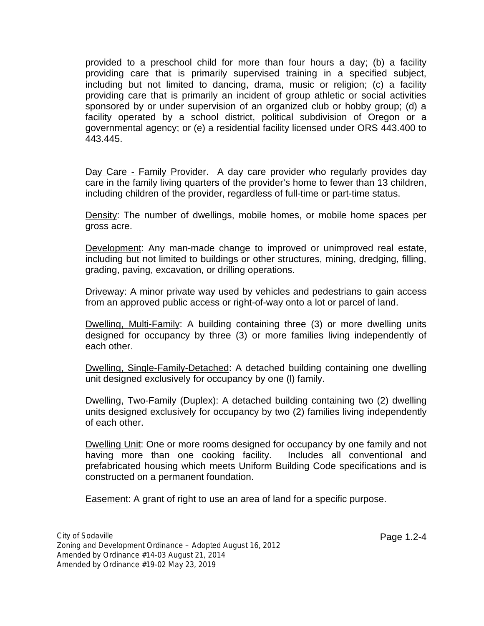provided to a preschool child for more than four hours a day; (b) a facility providing care that is primarily supervised training in a specified subject, including but not limited to dancing, drama, music or religion; (c) a facility providing care that is primarily an incident of group athletic or social activities sponsored by or under supervision of an organized club or hobby group; (d) a facility operated by a school district, political subdivision of Oregon or a governmental agency; or (e) a residential facility licensed under ORS 443.400 to 443.445.

Day Care - Family Provider. A day care provider who regularly provides day care in the family living quarters of the provider's home to fewer than 13 children, including children of the provider, regardless of full-time or part-time status.

Density: The number of dwellings, mobile homes, or mobile home spaces per gross acre.

Development: Any man-made change to improved or unimproved real estate, including but not limited to buildings or other structures, mining, dredging, filling, grading, paving, excavation, or drilling operations.

Driveway: A minor private way used by vehicles and pedestrians to gain access from an approved public access or right-of-way onto a lot or parcel of land.

Dwelling, Multi-Family: A building containing three (3) or more dwelling units designed for occupancy by three (3) or more families living independently of each other.

Dwelling, Single-Family-Detached: A detached building containing one dwelling unit designed exclusively for occupancy by one (l) family.

Dwelling, Two-Family (Duplex): A detached building containing two (2) dwelling units designed exclusively for occupancy by two (2) families living independently of each other.

Dwelling Unit: One or more rooms designed for occupancy by one family and not having more than one cooking facility. Includes all conventional and prefabricated housing which meets Uniform Building Code specifications and is constructed on a permanent foundation.

Easement: A grant of right to use an area of land for a specific purpose.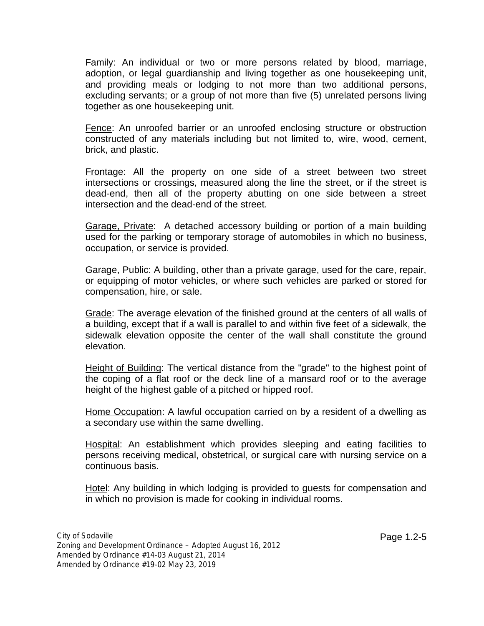Family: An individual or two or more persons related by blood, marriage, adoption, or legal guardianship and living together as one housekeeping unit, and providing meals or lodging to not more than two additional persons, excluding servants; or a group of not more than five (5) unrelated persons living together as one housekeeping unit.

Fence: An unroofed barrier or an unroofed enclosing structure or obstruction constructed of any materials including but not limited to, wire, wood, cement, brick, and plastic.

Frontage: All the property on one side of a street between two street intersections or crossings, measured along the line the street, or if the street is dead-end, then all of the property abutting on one side between a street intersection and the dead-end of the street.

Garage, Private: A detached accessory building or portion of a main building used for the parking or temporary storage of automobiles in which no business, occupation, or service is provided.

Garage, Public: A building, other than a private garage, used for the care, repair, or equipping of motor vehicles, or where such vehicles are parked or stored for compensation, hire, or sale.

Grade: The average elevation of the finished ground at the centers of all walls of a building, except that if a wall is parallel to and within five feetof a sidewalk, the sidewalk elevation opposite the center of the wall shall constitute the ground elevation.

Height of Building: The vertical distance from the "grade" to the highest point of the coping of a flat roof or the deck line of a mansard roof or to the average height of the highest gable of a pitched or hipped roof.

Home Occupation: A lawful occupation carried on by a resident of a dwelling as a secondary use within the same dwelling.

Hospital: An establishment which provides sleeping and eating facilities to persons receiving medical, obstetrical, or surgical care with nursing service on a continuous basis.

Hotel: Any building in which lodging is provided to guests for compensation and in which no provision is made for cooking in individual rooms.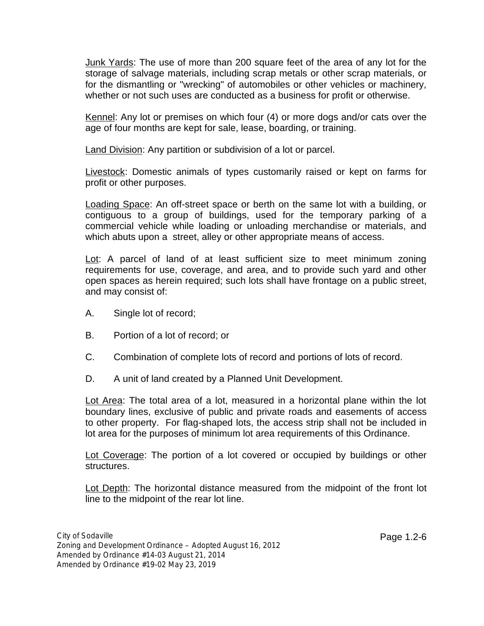Junk Yards: The use of more than 200 square feetof the area of any lot for the storage of salvage materials, including scrap metals or other scrap materials, or for the dismantling or "wrecking" of automobiles or other vehicles or machinery, whether or not such uses are conducted as a business for profit or otherwise.

Kennel: Any lot or premises on which four (4) or more dogs and/or cats over the age of four months are kept for sale, lease, boarding, or training.

Land Division: Any partition or subdivision of a lot or parcel.

Livestock: Domestic animals of types customarily raised or kept on farms for profit or other purposes.

Loading Space: An off-street space or berth on the same lot with a building, or contiguous to a group of buildings, used for the temporary parking of a commercial vehicle while loading or unloading merchandise or materials, and which abuts upon a street, alley or other appropriate means of access.

Lot: A parcel of land of at least sufficient size to meet minimum zoning requirements for use, coverage, and area, and to provide such yard and other open spaces as herein required; such lots shall have frontage on a public street, and may consist of:

- A. Single lot of record;
- B. Portion of a lot of record; or
- C. Combination of complete lots of record and portions of lots of record.
- D. A unit of land created by a Planned Unit Development.

Lot Area: The total area of a lot, measured in a horizontal plane within the lot boundary lines, exclusive of public and private roads and easements of access to other property. For flag-shaped lots, the access strip shall not be included in lot area for the purposes of minimum lot area requirements of this Ordinance.

Lot Coverage: The portion of a lot covered or occupied by buildings or other structures.

Lot Depth: The horizontal distance measured from the midpoint of the front lot line to the midpoint of the rear lot line.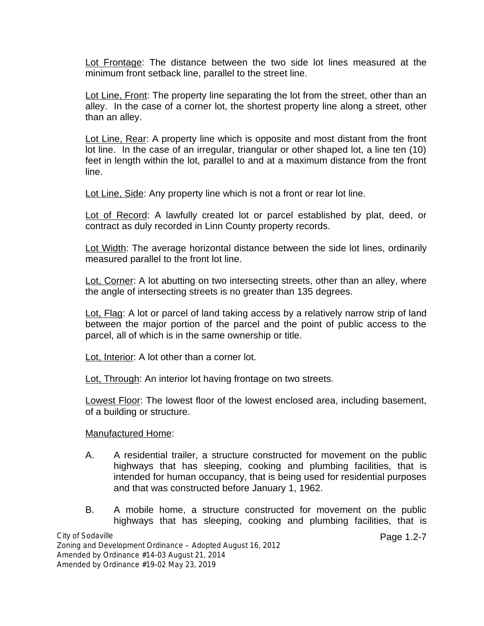Lot Frontage: The distance between the two side lot lines measured at the minimum front setback line, parallel to the street line.

Lot Line, Front: The property line separating the lot from the street, other than an alley. In the case of a corner lot, the shortest property line along a street, other than an alley.

Lot Line, Rear: A property line which is opposite and most distant from the front lot line. In the case of an irregular, triangular or other shaped lot, a line ten (10) feet in length within the lot, parallel to and at a maximum distance from the front line.

Lot Line, Side: Any property line which is not a front or rear lot line.

Lot of Record: A lawfully created lot or parcel established by plat, deed, or contract as duly recorded in Linn County property records.

Lot Width: The average horizontal distance between the side lot lines, ordinarily measured parallel to the front lot line.

Lot, Corner: A lot abutting on two intersecting streets, other than an alley, where the angle of intersecting streets is no greater than 135 degrees.

Lot, Flag: A lot or parcel of land taking access by a relatively narrow strip of land between the major portion of the parcel and the point of public access to the parcel, all of which is in the same ownership or title.

Lot, Interior: A lot other than a corner lot.

Lot, Through: An interior lot having frontage on two streets.

Lowest Floor: The lowest floor of the lowest enclosed area, including basement, of a building or structure.

### Manufactured Home:

- A. A residential trailer, a structure constructed for movement on the public highways that has sleeping, cooking and plumbing facilities, that is intended for human occupancy, that is being used for residential purposes and that was constructed before January 1, 1962.
- B. A mobile home, a structure constructed for movement on the public highways that has sleeping, cooking and plumbing facilities, that is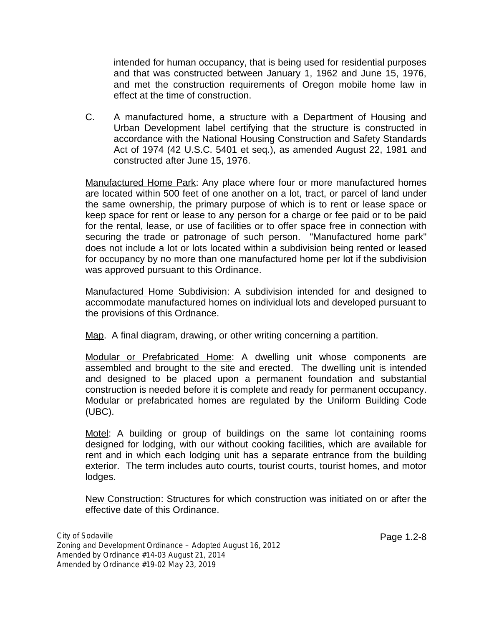intended for human occupancy, that is being used for residential purposes and thatwas constructed between January 1, 1962 and June 15, 1976, and met the construction requirements of Oregon mobile home law in effect at the time of construction.

C. A manufactured home, a structure with a Department of Housing and Urban Development label certifying that the structure is constructed in accordance with the National Housing Construction and Safety Standards Act of 1974 (42 U.S.C. 5401 et seq.), as amended August 22, 1981 and constructed after June 15, 1976.

Manufactured Home Park: Any place where four or more manufactured homes are located within 500 feet of one another on a lot, tract, or parcel of land under the same ownership, the primary purpose of which is to rent or lease space or keep space for rent or lease to any person for a charge or fee paid or to be paid for the rental, lease, or use of facilities or to offer space free in connection with securing the trade or patronage of such person. "Manufactured home park" does not include a lot or lots located within a subdivision being rented or leased for occupancy by no more than one manufactured home per lot if the subdivision was approved pursuant to this Ordinance.

Manufactured Home Subdivision: A subdivision intended for and designed to accommodate manufactured homes on individual lots and developed pursuant to the provisions of this Ordnance.

Map. A final diagram, drawing, or other writing concerning a partition.

Modular or Prefabricated Home: A dwelling unit whose components are assembled and brought to the site and erected. The dwelling unit is intended and designed to be placed upon a permanent foundation and substantial construction is needed before it is complete and ready for permanent occupancy. Modular or prefabricated homes are regulated by the Uniform Building Code (UBC).

Motel: A building or group of buildings on the same lot containing rooms designed for lodging, with our without cooking facilities, which are available for rent and in which each lodging unit has a separate entrance from the building exterior. The term includes auto courts, tourist courts, tourist homes, and motor lodges.

New Construction: Structures for which construction was initiated on or after the effective date of this Ordinance.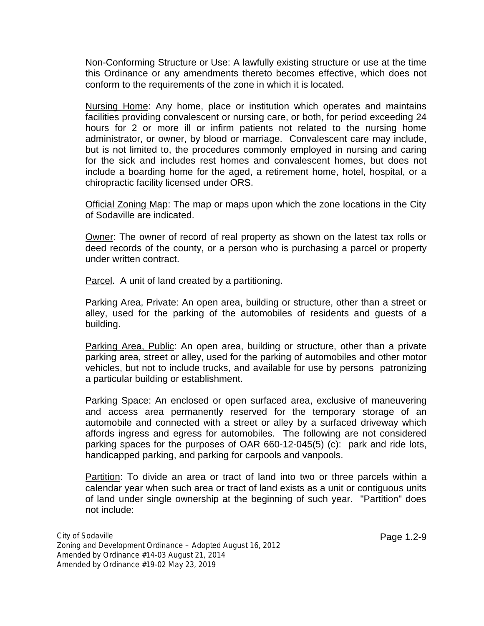Non-Conforming Structure or Use: A lawfully existing structure or use at the time this Ordinance or any amendments thereto becomes effective, which does not conform to the requirements of the zone in which it is located.

Nursing Home: Any home, place or institution which operates and maintains facilities providing convalescent or nursing care, or both, for period exceeding 24 hours for 2 or more ill or infirm patients not related to the nursing home administrator, or owner, by blood or marriage. Convalescent care may include, but is not limited to, the procedures commonly employed in nursing and caring for the sick and includes rest homes and convalescent homes, but does not include a boarding home for the aged, a retirement home, hotel, hospital, or a chiropractic facility licensed under ORS.

Official Zoning Map: The map or maps upon which the zone locations in the City of Sodaville are indicated.

Owner: The owner of record of real property as shown on the latest tax rolls or deed records of the county, or a person who is purchasing a parcel or property under written contract.

Parcel. A unit of land created by a partitioning.

Parking Area, Private: An open area, building or structure, other than a street or alley, used for the parking of the automobiles of residents and guests of a building.

Parking Area, Public: An open area, building or structure, other than a private parking area, street or alley, used for the parking of automobiles and other motor vehicles, but not to include trucks, and available for use by persons patronizing a particular building or establishment.

Parking Space: An enclosed or open surfaced area, exclusive of maneuvering and access area permanently reserved for the temporary storage of an automobile and connected with a street or alley by a surfaced driveway which affords ingress and egress for automobiles. The following are not considered parking spaces for the purposes of OAR 660-12-045(5) (c): park and ride lots, handicapped parking, and parking for carpools and vanpools.

Partition: To divide an area or tract of land into two or three parcels within a calendar year when such area or tract of land exists as a unit or contiguous units of land under single ownership at the beginning of such year. "Partition" does not include: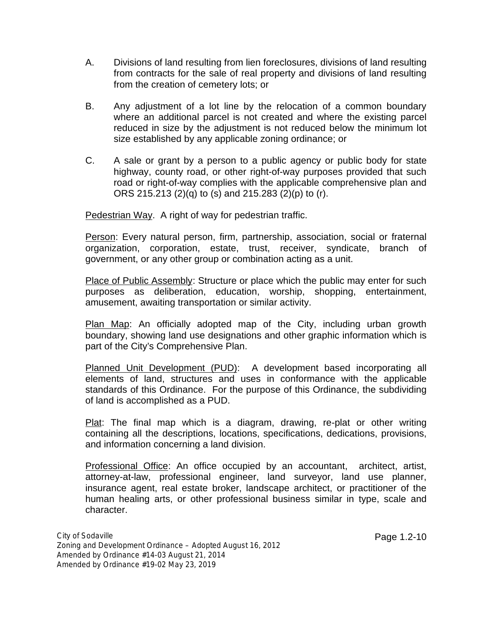- A. Divisions of land resulting from lien foreclosures, divisions of land resulting from contracts for the sale of real property and divisions of land resulting from the creation of cemetery lots; or
- B. Any adjustment of a lot line by the relocation of a common boundary where an additional parcel is not created and where the existing parcel reduced in size by the adjustment is not reduced below the minimum lot size established by any applicable zoning ordinance; or
- C. A sale or grant by a person to a public agency or public body for state highway, county road, or other right-of-way purposes provided that such road or right-of-way complies with the applicable comprehensive plan and ORS 215.213 (2)(q) to (s) and 215.283 (2)(p) to (r).

Pedestrian Way. A right of way for pedestrian traffic.

Person: Every natural person, firm, partnership, association, social or fraternal organization, corporation, estate, trust, receiver, syndicate, branch of government, or any other group or combination acting as a unit.

Place of Public Assembly: Structure or place which the public may enter for such purposes as deliberation, education, worship, shopping, entertainment, amusement, awaiting transportation or similar activity.

Plan Map: An officially adopted map of the City, including urban growth boundary, showing land use designations and other graphic information which is part of the City's Comprehensive Plan.

Planned Unit Development (PUD): A development based incorporating all elements of land, structures and uses in conformance with the applicable standards of this Ordinance. For the purpose of this Ordinance, the subdividing of land is accomplished as a PUD.

Plat: The final map which is a diagram, drawing, re-plat or other writing containing all the descriptions, locations, specifications, dedications, provisions, and information concerning a land division.

Professional Office: An office occupied by an accountant, architect, artist, attorney-at-law, professional engineer, land surveyor, land use planner, insurance agent, real estate broker, landscape architect, or practitioner of the human healing arts, or other professional business similar in type, scale and character.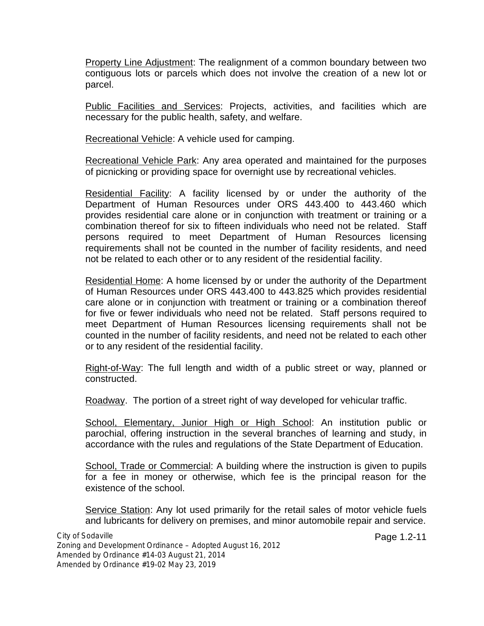Property Line Adjustment: The realignment of a common boundary between two contiguous lots or parcels which does not involve the creation of a new lot or parcel.

Public Facilities and Services: Projects, activities, and facilities which are necessary for the public health, safety, and welfare.

Recreational Vehicle: A vehicle used for camping.

Recreational Vehicle Park: Any area operated and maintained for the purposes of picnicking or providing space for overnight use by recreational vehicles.

Residential Facility: A facility licensed by or under the authority ofthe Department of Human Resources under ORS 443.400 to 443.460 which provides residential care alone or in conjunction with treatment or training or a combination thereof for six to fifteen individuals who need not be related. Staff persons required to meet Department of Human Resources licensing requirements shall not be counted in the number of facility residents, and need not be related to each other or to any resident of the residential facility.

Residential Home: A home licensed by or under the authority of the Department of Human Resources under ORS 443.400 to 443.825 which provides residential care alone or in conjunction with treatment or training or a combination thereof for five or fewer individuals who need not be related. Staff persons required to meet Department of Human Resources licensing requirements shall not be counted in the number of facility residents, and need not be related to each other or to any resident of the residential facility.

Right-of-Way: The full length and width of a public street or way, planned or constructed.

Roadway. The portion of a street right of way developed for vehicular traffic.

School, Elementary, Junior High or High School: An institution public or parochial, offering instruction in the several branches of learning and study, in accordance with the rules and regulations of the State Department of Education.

School, Trade or Commercial: A building where the instruction is given to pupils for a fee in money or otherwise, which fee is the principal reason for the existence of the school.

Service Station: Any lot used primarily for the retail sales of motor vehicle fuels and lubricants for delivery on premises, and minor automobile repair and service.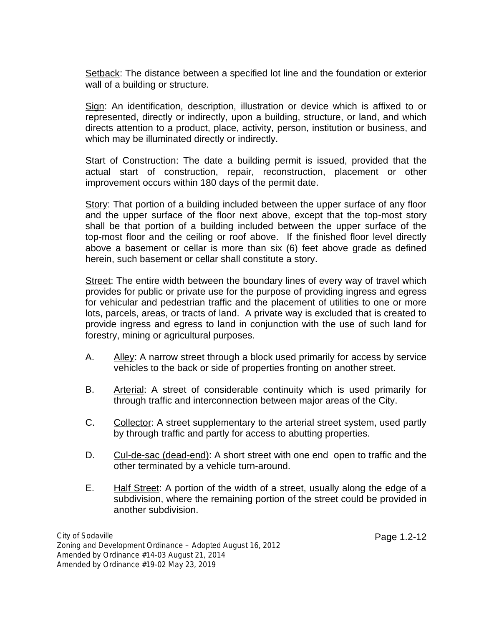Setback: The distance between a specified lot line and the foundation or exterior wall of a building or structure.

Sign: An identification, description, illustration or device which is affixed to or represented, directly or indirectly, upon a building, structure, or land, and which directs attention to a product, place, activity, person, institution or business, and which may be illuminated directly or indirectly.

Start of Construction: The date a building permit is issued, provided that the actual start of construction, repair, reconstruction, placement or other improvement occurs within 180 days of the permit date.

Story: That portion of a building included between the upper surface of any floor and the upper surface of the floor next above, except that the top-most story shall be that portion of a building included between the upper surface of the top-most floor and the ceiling or roof above. If the finished floor level directly above a basement or cellar is more than six (6) feet above grade as defined herein, such basement or cellar shall constitute a story.

Street: The entire width between the boundary lines of every way of travel which provides for public or private use for the purpose of providing ingress and egress for vehicular and pedestrian traffic and the placement of utilities to one or more lots, parcels, areas, or tracts of land. A private way is excluded that is created to provide ingress and egress to land in conjunction with the use of such land for forestry, mining or agricultural purposes.

- A. Alley: A narrow street through a block used primarily for access by service vehicles to the back or side of properties fronting on another street.
- B. Arterial: A street of considerable continuity which is used primarily for through traffic and interconnection between major areas of the City.
- C. Collector: A street supplementary to the arterial street system, used partly by through traffic and partly for access to abutting properties.
- D. Cul-de-sac (dead-end): A short street with one end open to traffic and the other terminated by a vehicle turn-around.
- E. Half Street: A portion of the width of a street, usually along the edge of a subdivision, where the remaining portion of the street could be provided in another subdivision.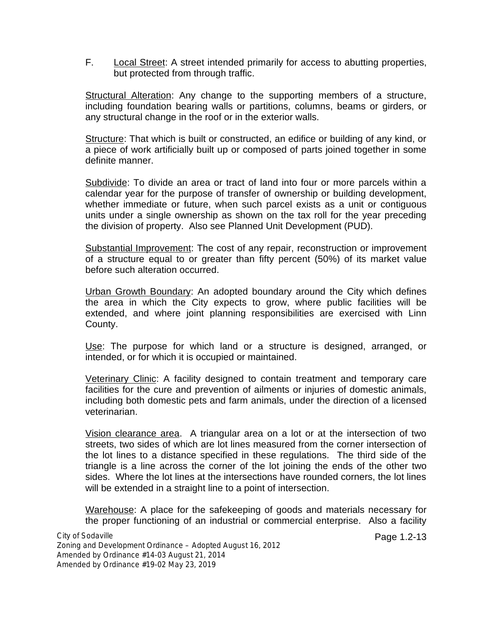F. Local Street: A street intended primarily for access to abutting properties, but protected from through traffic.

Structural Alteration: Any change to the supporting members of a structure, including foundation bearing walls or partitions, columns, beams or girders, or any structural change in the roof or in the exterior walls.

Structure: That which is built or constructed, an edifice or building of any kind, or a piece of work artificially built up or composed of parts joined together in some definite manner.

Subdivide: To divide an area or tract of land into four or more parcels within a calendar year for the purpose of transfer of ownership or building development, whether immediate or future, when such parcel exists as a unit or contiguous units under a single ownership as shown on the tax roll for the year preceding the division of property. Also see Planned Unit Development (PUD).

Substantial Improvement: The cost of any repair, reconstruction or improvement of a structure equal to or greater than fifty percent (50%) of its market value before such alteration occurred.

Urban Growth Boundary: An adopted boundary around the City which defines the area in which the City expects to grow, where public facilities will be extended, and where joint planning responsibilities are exercised with Linn County.

Use: The purpose for which land or a structure is designed, arranged, or intended, or for which it is occupied or maintained.

Veterinary Clinic: A facility designed to contain treatment and temporary care facilities for the cure and prevention of ailments or injuries of domestic animals, including both domestic pets and farm animals, under the direction of a licensed veterinarian.

Vision clearance area. A triangular area on a lot or at the intersection of two streets, two sides of which are lot lines measured from the corner intersection of the lot lines to a distance specified in these regulations. The third side of the triangle is a line across the corner of the lot joining the ends of the other two sides. Where the lot lines at the intersections have rounded corners, the lot lines will be extended in a straight line to a point of intersection.

Warehouse: A place for the safekeeping of goods and materials necessary for the proper functioning of an industrial or commercial enterprise. Also a facility